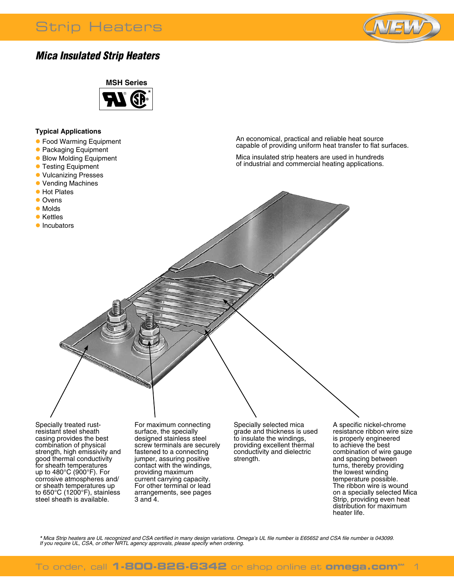# Strip Heaters



### *Mica Insulated Strip Heaters*



#### **Typical Applications**

- **Food Warming Equipment**
- **Packaging Equipment**
- **Blow Molding Equipment**
- **Testing Equipment**
- **Vulcanizing Presses**
- Vending Machines
- **Hot Plates**
- l Ovens
- Molds
- **•** Kettles
- **Incubators**

An economical, practical and reliable heat source capable of providing uniform heat transfer to flat surfaces.

Mica insulated strip heaters are used in hundreds of industrial and commercial heating applications.

Specially treated rustresistant steel sheath casing provides the best combination of physical strength, high emissivity and good thermal conductivity for sheath temperatures up to 480°C (900°F). For corrosive atmospheres and/ or sheath temperatures up to 650°C (1200°F), stainless steel sheath is available.

For maximum connecting surface, the specially designed stainless steel screw terminals are securely fastened to a connecting jumper, assuring positive contact with the windings, providing maximum current carrying capacity. For other terminal or lead arrangements, see pages 3 and 4.

Specially selected mica grade and thickness is used to insulate the windings, providing excellent thermal conductivity and dielectric strength.

A specific nickel-chrome resistance ribbon wire size is properly engineered to achieve the best combination of wire gauge and spacing between turns, thereby providing the lowest winding temperature possible. The ribbon wire is wound on a specially selected Mica Strip, providing even heat distribution for maximum heater life.

\* Mica Strip heaters are UL recognized and CSA certified in many design variations. Omega's UL file number is E65652 and CSA file number is 043099.<br>If you require UL, CSA, or other NRTL agency approvals, please specify whe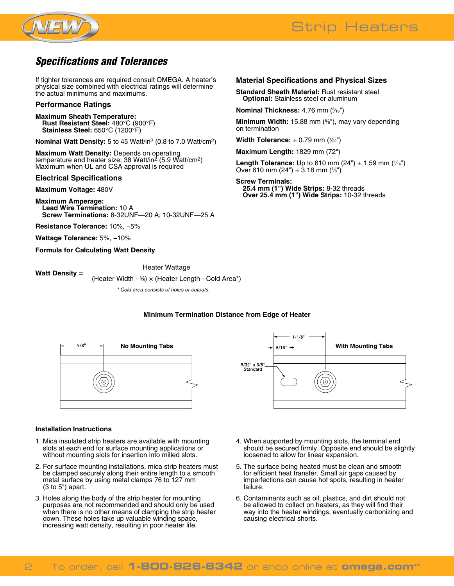



**Material Specifications and Physical Sizes Standard Sheath Material:** Rust resistant steel **Optional:** Stainless steel or aluminum

**Minimum Width:** 15.88 mm (5 ⁄8"), may vary depending

**Length Tolerance:** Up to 610 mm (24") ± 1.59 mm (1/<sub>16</sub>")

**Nominal Thickness:** 4.76 mm (3 ⁄16")

**Width Tolerance:** ± 0.79 mm (1/32") **Maximum Length:** 1829 mm (72")

Over 610 mm (24")  $\pm$  3.18 mm (1/8")

**25.4 mm (1") Wide Strips:** 8-32 threads **Over 25.4 mm (1") Wide Strips:** 10-32 threads

on termination

**Screw Terminals:**

### *Specifications and Tolerances*

If tighter tolerances are required consult OMEGA. A heater's physical size combined with electrical ratings will determine the actual minimums and maximums.

#### **Performance Ratings**

**Maximum Sheath Temperature: Rust Resistant Steel:** 480°C (900°F) **Stainless Steel:** 650°C (1200°F)

**Nominal Watt Density:** 5 to 45 Watt/in2 (0.8 to 7.0 Watt/cm2)

**Maximum Watt Density:** Depends on operating temperature and heater size; 38 Watt/in<sup>2</sup> (5.9 Watt/cm<sup>2</sup>) Maximum when UL and CSA approval is required

#### **Electrical Specifications**

**Maximum Voltage:** 480V

**Maximum Amperage: Lead Wire Termination:** 10 A **Screw Terminations:** 8-32UNF—20 A; 10-32UNF—25 A

**Resistance Tolerance:** 10%, −5%

**Wattage Tolerance:** 5%, −10%

**Formula for Calculating Watt Density**

**Watt Density** = — **Heater Wattage** 

(Heater Width -  $\frac{3}{8}$ )  $\times$  (Heater Length - Cold Area\*)

 *\* Cold area consists of holes or cutouts.*

#### **Minimum Termination Distance from Edge of Heater**



#### **Installation Instructions**

- 1. Mica insulated strip heaters are available with mounting slots at each end for surface mounting applications or without mounting slots for insertion into milled slots.
- 2. For surface mounting installations, mica strip heaters must be clamped securely along their entire length to a smooth metal surface by using metal clamps 76 to 127 mm (3 to 5") apart.
- 3. Holes along the body of the strip heater for mounting purposes are not recommended and should only be used when there is no other means of clamping the strip heater down. These holes take up valuable winding space, increasing watt density, resulting in poor heater life.



- 4. When supported by mounting slots, the terminal end should be secured firmly. Opposite end should be slightly loosened to allow for linear expansion.
- 5. The surface being heated must be clean and smooth for efficient heat transfer. Small air gaps caused by imperfections can cause hot spots, resulting in heater failure.
- 6. Contaminants such as oil, plastics, and dirt should not be allowed to collect on heaters, as they will find their way into the heater windings, eventually carbonizing and causing electrical shorts.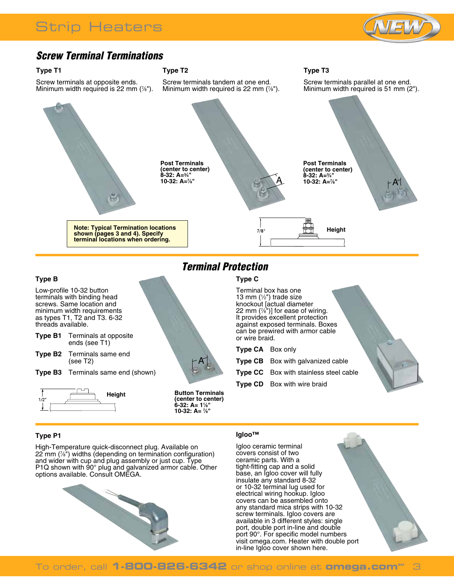

## *Screw Terminal Terminations*

#### **Type T1**

Screw terminals at opposite ends. Minimum width required is 22 mm (7 ⁄8").

### **Type T2**

Screw terminals tandem at one end. Minimum width required is 22 mm (7 ⁄8").



A

#### **Type B** Low-profile 10-32 button terminals with binding head screws. Same location and minimum width requirements as types T1, T2 and T3. 6-32

threads available. **Type B1** Terminals at opposite ends (see T1)

**Type B2** Terminals same end (see T2)

**Type B3** Terminals same end (shown)



# *Terminal Protection*

### **Type C**



**Type T3**

Screw terminals parallel at one end.

**Type CD** Box with wire braid

### **Type P1**

High-Temperature quick-disconnect plug. Available on 22 mm (7 ⁄8") widths (depending on termination configuration) and wider with cup and plug assembly or just cup. Type P1Q shown with 90° plug and galvanized armor cable. Other options available. Consult OMEGA.



#### **Igloo™**

Igloo ceramic terminal covers consist of two ceramic parts. With a tight-fitting cap and a solid base, an Igloo cover will fully insulate any standard 8-32 or 10-32 terminal lug used for electrical wiring hookup. Igloo covers can be assembled onto any standard mica strips with 10-32 screw terminals. Igloo covers are available in 3 different styles: single port, double port in-line and double port 90°. For specific model numbers visit omega.com. Heater with double port in-line Igloo cover shown here.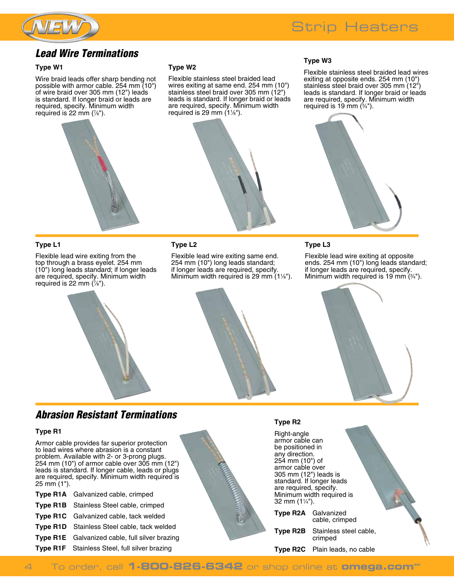

### *Lead Wire Terminations*

#### **Type W1**

Wire braid leads offer sharp bending not possible with armor cable. 254 mm (10") of wire braid over 305 mm (12") leads is standard. If longer braid or leads are required, specify. Minimum width required is 22 mm (7 ⁄8").

#### **Type W2**

Flexible stainless steel braided lead wires exiting at same end. 254 mm (10") stainless steel braid over 305 mm (12") leads is standard. If longer braid or leads are required, specify. Minimum width required is 29 mm (11 ⁄8").



#### **Type W3**

Flexible stainless steel braided lead wires exiting at opposite ends. 254 mm (10") stainless steel braid over 305 mm (12") leads is standard. If longer braid or leads are required, specify. Minimum width required is 19 mm (3 ⁄4").



#### **Type L1**

Flexible lead wire exiting from the top through a brass eyelet. 254 mm (10") long leads standard; if longer leads are required, specify. Minimum width required is 22 mm (7 ⁄8").

#### **Type L2**

Flexible lead wire exiting same end. 254 mm (10") long leads standard; if longer leads are required, specify. Minimum width required is 29 mm  $(1\frac{1}{8})$ .

#### **Type L3**

Flexible lead wire exiting at opposite ends. 254 mm (10") long leads standard; if longer leads are required, specify. Minimum width required is 19 mm (3 ⁄4").



### *Abrasion Resistant Terminations*

#### **Type R1**

Armor cable provides far superior protection to lead wires where abrasion is a constant problem. Available with 2- or 3-prong plugs. 254 mm (10") of armor cable over 305 mm (12") leads is standard. If longer cable, leads or plugs are required, specify. Minimum width required is 25 mm (1").

| <b>Type R1A</b> Galvanized cable, crimped             |
|-------------------------------------------------------|
| Type R1B Stainless Steel cable, crimped               |
| Type R1C Galvanized cable, tack welded                |
| Type R1D Stainless Steel cable, tack welded           |
| <b>Type R1E</b> Galvanized cable, full silver brazing |
| Type R1F Stainless Steel, full silver brazing         |



#### **Type R2**

Right-angle armor cable can be positioned in any direction. 254 mm (10") of armor cable over 305 mm (12") leads is standard. If longer leads are required, specify. Minimum width required is 32 mm (11 ⁄4").

**Type R2A** Galvanized cable, crimped

**Type R2B** Stainless steel cable, crimped

**Type R2C** Plain leads, no cable

4 To order, call **1-800-826-6342** or shop online at **omega.com**<sup>M</sup>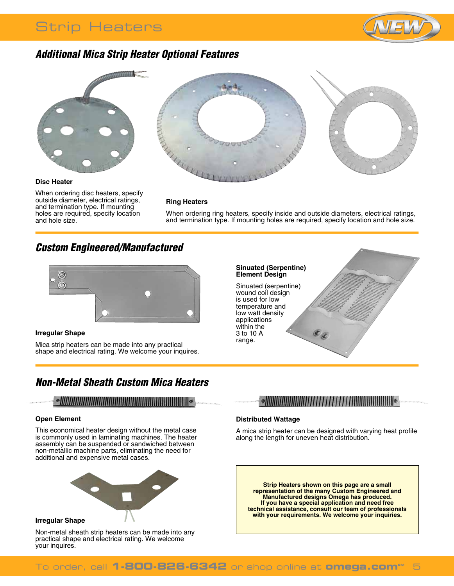# Strip Heaters



### *Additional Mica Strip Heater Optional Features*



**Disc Heater**

When ordering disc heaters, specify outside diameter, electrical ratings, and termination type. If mounting holes are required, specify location and hole size.



#### **Ring Heaters**

When ordering ring heaters, specify inside and outside diameters, electrical ratings, and termination type. If mounting holes are required, specify location and hole size.

### *Custom Engineered/Manufactured*



#### **Irregular Shape**

Mica strip heaters can be made into any practical shape and electrical rating. We welcome your inquires.

## *Non-Metal Sheath Custom Mica Heaters*

### 

#### **Open Element**

This economical heater design without the metal case is commonly used in laminating machines. The heater assembly can be suspended or sandwiched between non-metallic machine parts, eliminating the need for additional and expensive metal cases.



Non-metal sheath strip heaters can be made into any practical shape and electrical rating. We welcome your inquires.

#### **Sinuated (Serpentine) Element Design**

Sinuated (serpentine) wound coil design is used for low temperature and low watt density applications within the 3 to 10 A range.

### $\sim$

 $\overline{\mathfrak{e}_\mathfrak{C}}$ 

#### **Distributed Wattage**

A mica strip heater can be designed with varying heat profile along the length for uneven heat distribution.

**Strip Heaters shown on this page are a small representation of the many Custom Engineered and Manufactured designs Omega has produced. If you have a special application and need free technical assistance, consult our team of professionals with your requirements. We welcome your inquiries.**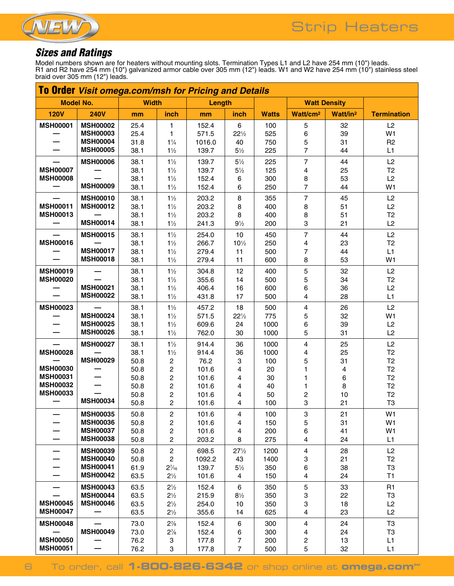

# *Sizes and Ratings*

Model numbers shown are for heaters without mounting slots. Termination Types L1 and L2 have 254 mm (10") leads. R1 and R2 have 254 mm (10") galvanized armor cable over 305 mm (12") leads. W1 and W2 have 254 mm (10") stainless steel braid over 305 mm (12") leads.

| <b>To Order</b> Visit omega.com/msh for Pricing and Details |                                    |              |                                   |                |                                  |              |                              |                      |                      |  |  |
|-------------------------------------------------------------|------------------------------------|--------------|-----------------------------------|----------------|----------------------------------|--------------|------------------------------|----------------------|----------------------|--|--|
| <b>Model No.</b>                                            |                                    | <b>Width</b> |                                   | Length         |                                  |              | <b>Watt Density</b>          |                      |                      |  |  |
| <b>120V</b>                                                 | <b>240V</b>                        | mm           | inch                              | mm             | inch                             | <b>Watts</b> | Watt/cm <sup>2</sup>         | Watt/in <sup>2</sup> | <b>Termination</b>   |  |  |
| <b>MSH00001</b>                                             | <b>MSH00002</b>                    | 25.4         | 1                                 | 152.4          | $\,6\,$                          | 100          | 5                            | 32                   | L2                   |  |  |
|                                                             | <b>MSH00003</b>                    | 25.4         | 1                                 | 571.5          | $22\frac{1}{2}$                  | 525          | 6                            | 39                   | W1                   |  |  |
|                                                             | <b>MSH00004</b>                    | 31.8         | $1\frac{1}{4}$                    | 1016.0         | 40                               | 750          | 5                            | 31                   | R <sub>2</sub>       |  |  |
|                                                             | <b>MSH00005</b>                    | 38.1         | $1\frac{1}{2}$                    | 139.7          | $5\frac{1}{2}$                   | 225          | 7                            | 44                   | L1                   |  |  |
|                                                             | <b>MSH00006</b>                    | 38.1         | $1\frac{1}{2}$                    | 139.7          | $5\frac{1}{2}$                   | 225          | $\overline{7}$               | 44                   | L2                   |  |  |
| <b>MSH00007</b>                                             |                                    | 38.1         | $1\frac{1}{2}$                    | 139.7          | $5\frac{1}{2}$                   | 125          | $\overline{\mathbf{4}}$      | 25                   | T <sub>2</sub>       |  |  |
| <b>MSH00008</b>                                             |                                    | 38.1         | $1\frac{1}{2}$                    | 152.4          | 6                                | 300          | 8                            | 53                   | L2                   |  |  |
|                                                             | <b>MSH00009</b>                    | 38.1         | $1\frac{1}{2}$                    | 152.4          | 6                                | 250          | $\overline{7}$               | 44                   | W <sub>1</sub>       |  |  |
|                                                             | <b>MSH00010</b>                    | 38.1         | $1\frac{1}{2}$                    | 203.2          | 8                                | 355          | $\overline{7}$               | 45                   | L2                   |  |  |
| <b>MSH00011</b>                                             | <b>MSH00012</b>                    | 38.1         | $1\frac{1}{2}$                    | 203.2          | 8                                | 400          | 8                            | 51                   | L2                   |  |  |
| <b>MSH00013</b>                                             | <b>MSH00014</b>                    | 38.1         | $1\frac{1}{2}$                    | 203.2          | 8                                | 400          | 8                            | 51                   | T <sub>2</sub>       |  |  |
|                                                             |                                    | 38.1         | $1\frac{1}{2}$                    | 241.3          | $9\frac{1}{2}$                   | 200          | 3                            | 21                   | L2                   |  |  |
|                                                             | <b>MSH00015</b>                    | 38.1         | $1\frac{1}{2}$                    | 254.0          | 10                               | 450          | $\overline{7}$               | 44                   | L2                   |  |  |
| <b>MSH00016</b>                                             | <b>MSH00017</b>                    | 38.1         | $1\frac{1}{2}$                    | 266.7          | $10\frac{1}{2}$                  | 250          | 4                            | 23                   | T <sub>2</sub>       |  |  |
|                                                             | <b>MSH00018</b>                    | 38.1<br>38.1 | $1\frac{1}{2}$<br>$1\frac{1}{2}$  | 279.4<br>279.4 | 11<br>11                         | 500<br>600   | 7<br>8                       | 44<br>53             | L1<br>W1             |  |  |
|                                                             |                                    |              |                                   |                |                                  |              |                              |                      |                      |  |  |
| <b>MSH00019</b>                                             |                                    | 38.1         | $1\frac{1}{2}$                    | 304.8          | 12                               | 400          | $\mathbf 5$                  | 32                   | L2                   |  |  |
| <b>MSH00020</b>                                             | <b>MSH00021</b>                    | 38.1<br>38.1 | $1\frac{1}{2}$<br>$1\frac{1}{2}$  | 355.6          | 14<br>16                         | 500<br>600   | 5<br>6                       | 34<br>36             | T <sub>2</sub><br>L2 |  |  |
|                                                             | <b>MSH00022</b>                    | 38.1         | $1\frac{1}{2}$                    | 406.4<br>431.8 | 17                               | 500          | 4                            | 28                   | L1                   |  |  |
|                                                             |                                    |              |                                   |                |                                  |              |                              |                      |                      |  |  |
| <b>MSH00023</b>                                             | <b>MSH00024</b>                    | 38.1<br>38.1 | $1\frac{1}{2}$<br>$1\frac{1}{2}$  | 457.2<br>571.5 | 18<br>$22\frac{1}{2}$            | 500<br>775   | 4<br>5                       | 26<br>32             | L2<br>W1             |  |  |
|                                                             | <b>MSH00025</b>                    | 38.1         | $1\frac{1}{2}$                    | 609.6          | 24                               | 1000         | 6                            | 39                   | L2                   |  |  |
|                                                             | <b>MSH00026</b>                    | 38.1         | $1\frac{1}{2}$                    | 762.0          | 30                               | 1000         | 5                            | 31                   | L2                   |  |  |
|                                                             | <b>MSH00027</b>                    | 38.1         | $1\frac{1}{2}$                    | 914.4          | 36                               | 1000         | 4                            | 25                   | L2                   |  |  |
| <b>MSH00028</b>                                             |                                    | 38.1         | $1\frac{1}{2}$                    | 914.4          | 36                               | 1000         | 4                            | 25                   | T <sub>2</sub>       |  |  |
|                                                             | <b>MSH00029</b>                    | 50.8         | 2                                 | 76.2           | 3                                | 100          | 5                            | 31                   | T2                   |  |  |
| <b>MSH00030</b>                                             |                                    | 50.8         | $\boldsymbol{2}$                  | 101.6          | $\overline{4}$                   | 20           | 1                            | 4                    | T2                   |  |  |
| <b>MSH00031</b>                                             |                                    | 50.8         | $\overline{c}$                    | 101.6          | $\overline{4}$                   | 30           | 1                            | 6                    | T <sub>2</sub>       |  |  |
| <b>MSH00032</b>                                             |                                    | 50.8         | 2                                 | 101.6          | 4                                | 40           | 1                            | 8                    | T2                   |  |  |
| <b>MSH00033</b>                                             |                                    | 50.8         | $\overline{c}$                    | 101.6          | 4                                | 50           | 2                            | 10                   | T <sub>2</sub>       |  |  |
|                                                             | <b>MSH00034</b>                    | 50.8         | $\mathbf{2}$                      | 101.6          | 4                                | 100          | 3                            | 21                   | T <sub>3</sub>       |  |  |
|                                                             | <b>MSH00035</b>                    | 50.8         | $\boldsymbol{2}$                  | 101.6          | 4                                | 100          | 3                            | 21                   | W <sub>1</sub>       |  |  |
|                                                             | <b>MSH00036</b>                    | 50.8         | $\overline{\mathbf{c}}$           | 101.6          | $\overline{\mathbf{4}}$          | 150          | 5                            | 31                   | W1                   |  |  |
|                                                             | <b>MSH00037</b>                    | 50.8         | $\overline{c}$                    | 101.6          | 4                                | 200          | 6                            | 41                   | W1                   |  |  |
|                                                             | <b>MSH00038</b>                    | 50.8         | $\overline{c}$                    | 203.2          | 8                                | 275          | $\overline{\mathbf{4}}$      | 24                   | L1                   |  |  |
|                                                             | <b>MSH00039</b>                    | 50.8         | $\overline{c}$                    | 698.5          | $27\frac{1}{2}$                  | 1200         | $\overline{4}$               | 28                   | L2                   |  |  |
|                                                             | <b>MSH00040</b><br><b>MSH00041</b> | 50.8         | $\overline{c}$                    | 1092.2         | 43                               | 1400         | 3                            | 21                   | T <sub>2</sub>       |  |  |
|                                                             | <b>MSH00042</b>                    | 61.9<br>63.5 | $2\frac{7}{16}$<br>$2\frac{1}{2}$ | 139.7<br>101.6 | $5\frac{1}{2}$<br>$\overline{4}$ | 350<br>150   | 6<br>4                       | 38<br>24             | T <sub>3</sub><br>T1 |  |  |
|                                                             |                                    |              |                                   |                |                                  |              |                              |                      |                      |  |  |
|                                                             | <b>MSH00043</b>                    | 63.5         | $2\frac{1}{2}$                    | 152.4          | 6                                | 350          | 5                            | 33                   | R <sub>1</sub>       |  |  |
| <b>MSH00045</b>                                             | <b>MSH00044</b><br><b>MSH00046</b> | 63.5         | $2\frac{1}{2}$                    | 215.9          | $8\frac{1}{2}$                   | 350          | 3                            | 22                   | T <sub>3</sub>       |  |  |
| <b>MSH00047</b>                                             |                                    | 63.5<br>63.5 | $2\frac{1}{2}$<br>$2\frac{1}{2}$  | 254.0<br>355.6 | 10<br>14                         | 350<br>625   | 3<br>$\overline{\mathbf{4}}$ | 18<br>23             | L2<br>L2             |  |  |
|                                                             |                                    |              |                                   |                |                                  |              |                              |                      |                      |  |  |
| <b>MSH00048</b>                                             |                                    | 73.0         | $2\frac{7}{8}$                    | 152.4          | 6                                | 300          | 4                            | 24                   | T <sub>3</sub>       |  |  |
| <b>MSH00050</b>                                             | <b>MSH00049</b>                    | 73.0         | $2\frac{7}{8}$                    | 152.4          | 6                                | 300          | 4                            | 24                   | T <sub>3</sub><br>L1 |  |  |
| <b>MSH00051</b>                                             |                                    | 76.2<br>76.2 | 3<br>3                            | 177.8<br>177.8 | $\overline{7}$<br>$\overline{7}$ | 200<br>500   | $\overline{\mathbf{c}}$<br>5 | 13<br>32             | L1                   |  |  |
|                                                             |                                    |              |                                   |                |                                  |              |                              |                      |                      |  |  |